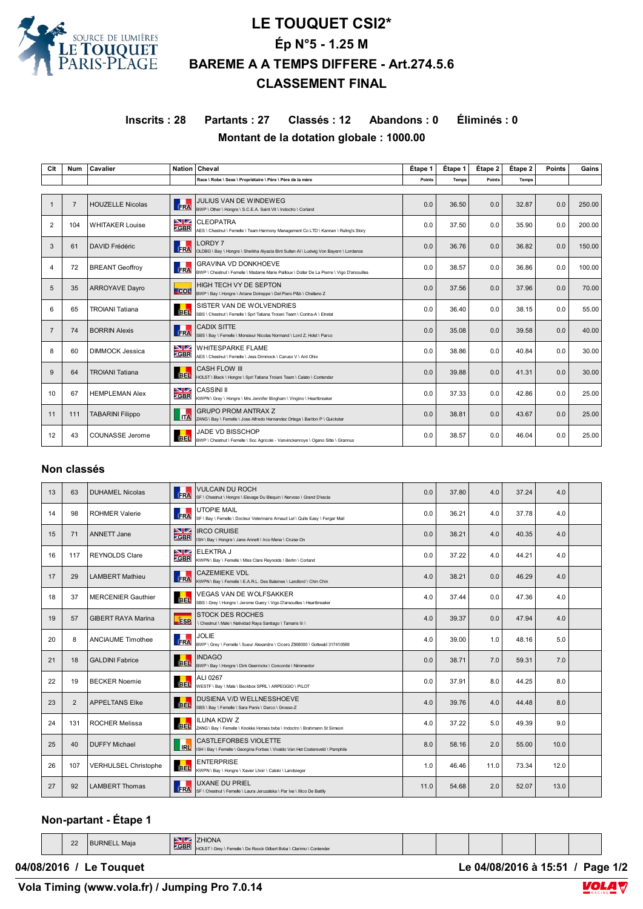

## **LE TOUQUET CSI2\* Ép N°5 - 1.25 M BAREME A A TEMPS DIFFERE - Art.274.5.6 CLASSEMENT FINAL**

## **Inscrits : 28 Partants : 27 Classés : 12 Abandons : 0 Éliminés : 0 Montant de la dotation globale : 1000.00**

| Clt            | <b>Num</b>     | Cavalier                | <b>Nation</b>             | Cheval                                                                                                                    | Étape 1       | Étape 1      | Étape 2 | Étape 2 | <b>Points</b> | Gains  |
|----------------|----------------|-------------------------|---------------------------|---------------------------------------------------------------------------------------------------------------------------|---------------|--------------|---------|---------|---------------|--------|
|                |                |                         |                           | Race \ Robe \ Sexe \ Propriétaire \ Père \ Père de la mère                                                                | <b>Points</b> | <b>Temps</b> | Points  | Temps   |               |        |
|                |                |                         |                           |                                                                                                                           |               |              |         |         |               |        |
| 1              | $\overline{7}$ | <b>HOUZELLE Nicolas</b> | <b>IRA</b>                | JULIUS VAN DE WINDEWEG<br>BWP \ Other \ Hongre \ S.C.E.A. Saint Vit \ Indoctro \ Corland                                  | 0.0           | 36.50        | 0.0     | 32.87   | 0.0           | 250.00 |
| 2              | 104            | <b>WHITAKER Louise</b>  | VZ<br><b>ZGBR</b>         | <b>CLEOPATRA</b><br>AES \ Chestnut \ Femelle \ Team Harmony Management Co LTD \ Kannan \ Ruling's Story                   | 0.0           | 37.50        | 0.0     | 35.90   | 0.0           | 200.00 |
| 3              | 61             | <b>DAVID Frédéric</b>   | FRA                       | <b>LORDY7</b><br>OLDBG \ Bay \ Hongre \ Sheikha Alyazia Bint Sultan Al \ Ludwig Von Bayern \ Lordanos                     | 0.0           | 36.76        | 0.0     | 36.82   | 0.0           | 150.00 |
| 4              | 72             | <b>BREANT Geoffroy</b>  | п<br><b>FRA</b>           | <b>GRAVINA VD DONKHOEVE</b><br>BWP \ Chestnut \ Femelle \ Madame Marie Pailloux \ Dollar De La Pierre \ Vigo D'arsouilles | 0.0           | 38.57        | 0.0     | 36.86   | 0.0           | 100.00 |
| 5              | 35             | <b>ARROYAVE Dayro</b>   | $-$ COL                   | HIGH TECH VY DE SEPTON<br>BWP \ Bay \ Hongre \ Ariane Dotreppe \ Del Piero P&b \ Chellano Z                               | 0.0           | 37.56        | 0.0     | 37.96   | 0.0           | 70.00  |
| 6              | 65             | <b>TROIANI Tatiana</b>  | <b>BEL</b>                | SISTER VAN DE WOLVENDRIES<br>SBS \ Chestnut \ Femelle \ Sprl Tatiana Troiani Team \ Contra-A \ Etretat                    | 0.0           | 36.40        | 0.0     | 38.15   | 0.0           | 55.00  |
| $\overline{7}$ | 74             | <b>BORRIN Alexis</b>    | FRA                       | <b>CADIX SITTE</b><br>SBS \ Bay \ Femelle \ Monsieur Nicolas Normand \ Lord Z, Holst \ Parco                              | 0.0           | 35.08        | 0.0     | 39.58   | 0.0           | 40.00  |
| 8              | 60             | <b>DIMMOCK Jessica</b>  | $\blacksquare$<br>$-$ GBR | <b>WHITESPARKE FLAME</b><br>AES \ Chestnut \ Femelle \ Jess Dimmock \ Caruso V \ Ard Ohio                                 | 0.0           | 38.86        | 0.0     | 40.84   | 0.0           | 30.00  |
| 9              | 64             | <b>TROIANI Tatiana</b>  | <b>BEL</b>                | <b>CASH FLOW III</b><br>HOLST \ Black \ Hongre \ Sprl Tatiana Troiani Team \ Calato \ Contender                           | 0.0           | 39.88        | 0.0     | 41.31   | 0.0           | 30.00  |
| 10             | 67             | <b>HEMPLEMAN Alex</b>   | VZ<br><b>ZGBR</b>         | <b>CASSINI II</b><br>KWPN \ Grey \ Hongre \ Mrs Jennifer Bingham \ Vingino \ Heartbreaker                                 | 0.0           | 37.33        | 0.0     | 42.86   | 0.0           | 25.00  |
| 11             | 111            | <b>TABARINI Filippo</b> | <b>ITA</b>                | <b>GRUPO PROM ANTRAX Z</b><br>ZANG \ Bay \ Femelle \ Jose Alfredo Hernandez Ortega \ Bariton P \ Quickstar                | 0.0           | 38.81        | 0.0     | 43.67   | 0.0           | 25.00  |
| 12             | 43             | COUNASSE Jerome         | <b>BEL</b>                | <b>JADE VD BISSCHOP</b><br>BWP \ Chestnut \ Femelle \ Soc Agricole - Vanvinckenroye \ Ogano Sitte \ Grannus               | 0.0           | 38.57        | 0.0     | 46.04   | 0.0           | 25.00  |

## **Non classés**

| 13 | 63             | <b>DUHAMEL Nicolas</b>      | <b>FRA</b>                   | <b>VULCAIN DU ROCH</b><br>SF \ Chestnut \ Hongre \ Elevage Du Blequin \ Nervoso \ Grand D'escla                | 0.0  | 37.80 | 4.0  | 37.24 | 4.0  |  |
|----|----------------|-----------------------------|------------------------------|----------------------------------------------------------------------------------------------------------------|------|-------|------|-------|------|--|
| 14 | 98             | <b>ROHMER Valerie</b>       | FRA                          | <b>UTOPIE MAIL</b><br>SF \ Bav \ Femelle \ Docteur Veterinaire Arnaud Lel \ Quite Easy \ Fergar Mail           | 0.0  | 36.21 | 4.0  | 37.78 | 4.0  |  |
| 15 | 71             | ANNETT Jane                 | NZ.<br><b>ZGBR</b>           | <b>IRCO CRUISE</b><br>ISH \ Bay \ Hongre \ Jane Annett \ Irco Mena \ Cruise On                                 | 0.0  | 38.21 | 4.0  | 40.35 | 4.0  |  |
| 16 | 117            | <b>REYNOLDS Clare</b>       | NZ.<br><b>ZGBR</b>           | <b>ELEKTRA J</b><br>KWPN \ Bay \ Femelle \ Miss Clare Reynolds \ Berlin \ Corland                              | 0.0  | 37.22 | 4.0  | 44.21 | 4.0  |  |
| 17 | 29             | <b>LAMBERT Mathieu</b>      | ГT<br>FRA                    | <b>CAZEMIEKE VDL</b><br>KWPN \ Bay \ Femelle \ E.A.R.L. Des Baleines \ Landlord \ Chin Chin                    | 4.0  | 38.21 | 0.0  | 46.29 | 4.0  |  |
| 18 | 37             | <b>MERCENIER Gauthier</b>   | . .<br><b>BEL</b>            | VEGAS VAN DE WOLFSAKKER<br>SBS \ Grey \ Hongre \ Jerome Guery \ Vigo D'arsouilles \ Heartbreaker               | 4.0  | 37.44 | 0.0  | 47.36 | 4.0  |  |
| 19 | 57             | <b>GIBERT RAYA Marina</b>   | <b>ESP</b>                   | <b>STOCK DES ROCHES</b><br>\ Chestnut \ Male \ Natividad Raya Santiago \ Tamaris Iii \                         | 4.0  | 39.37 | 0.0  | 47.94 | 4.0  |  |
| 20 | 8              | <b>ANCIAUME Timothee</b>    | а.<br><b>ERA</b>             | <b>JOLIE</b><br>BWP \ Grey \ Femelle \ Sueur Alexandre \ Cicero Z568000 \ Gottwald 317410588                   | 4.0  | 39.00 | 1.0  | 48.16 | 5.0  |  |
| 21 | 18             | <b>GALDINI Fabrice</b>      | <b>BEL</b>                   | <b>INDAGO</b><br>BWP \ Bay \ Hongre \ Dirk Geerinckx \ Concorde \ Nimmerdor                                    | 0.0  | 38.71 | 7.0  | 59.31 | 7.0  |  |
| 22 | 19             | <b>BECKER Noemie</b>        | <b>BEL</b>                   | ALI 0267<br>WESTF \ Bay \ Male \ Beckbox SPRL \ ARPEGGIO \ PILOT                                               | 0.0  | 37.91 | 8.0  | 44.25 | 8.0  |  |
| 23 | $\overline{2}$ | <b>APPELTANS Elke</b>       | <b>BEL</b>                   | DUSIENA V/D WELLNESSHOEVE<br>SBS \ Bay \ Femelle \ Sara Panis \ Darco \ Grosso-Z                               | 4.0  | 39.76 | 4.0  | 44.48 | 8.0  |  |
| 24 | 131            | <b>ROCHER Melissa</b>       | <b>BEL</b>                   | <b>ILUNA KDW Z</b><br>ZANG \ Bay \ Femelle \ Knokke Horses bvba \ Indoctro \ Brahmann St Simeon                | 4.0  | 37.22 | 5.0  | 49.39 | 9.0  |  |
| 25 | 40             | <b>DUFFY Michael</b>        | $\overline{\phantom{a}}$ IRL | <b>CASTLEFORBES VIOLETTE</b><br>ISH \ Bay \ Femelle \ Georgina Forbes \ Vivaldo Van Het Costersveld \ Pamphile | 8.0  | 58.16 | 2.0  | 55.00 | 10.0 |  |
| 26 | 107            | <b>VERHULSEL Christophe</b> | <b>BEL</b>                   | <b>ENTERPRISE</b><br>KWPN \ Bay \ Hongre \ Xavier Lhoir \ Catoki \ Landsieger                                  | 1.0  | 46.46 | 11.0 | 73.34 | 12.0 |  |
| 27 | 92             | <b>LAMBERT Thomas</b>       | <b>FRA</b>                   | <b>UXANE DU PRIEL</b><br>SF \ Chestnut \ Femelle \ Laura Jeruzalska \ Par Ixe \ Illico De Batilly              | 11.0 | 54.68 | 2.0  | 52.07 | 13.0 |  |

## **Non-partant - Étape 1**